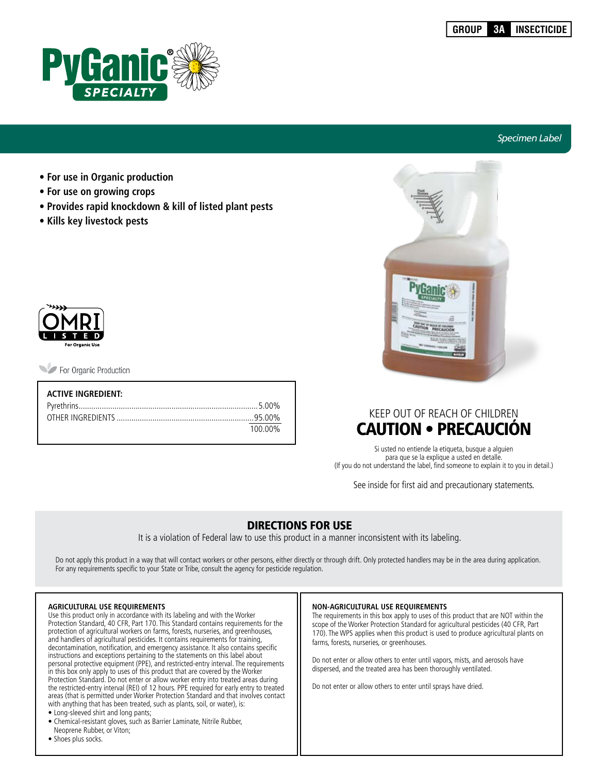



- **For use in Organic production**
- **For use on growing crops**
- **Provides rapid knockdown & kill of listed plant pests**
- **Kills key livestock pests**



For Organic Production

# **ACTIVE INGREDIENT:** Pyrethrins.....................................................................................5.00% OTHER INGREDIENTS .................................................................95.00% 100.00%



# KEEP OUT OF REACH OF CHILDREN CAUTION • PRECAUCIÓN

Si usted no entiende la etiqueta, busque a alguien para que se la explique a usted en detalle. (If you do not understand the label, find someone to explain it to you in detail.)

See inside for first aid and precautionary statements.

# DIRECTIONS FOR USE

It is a violation of Federal law to use this product in a manner inconsistent with its labeling.

Do not apply this product in a way that will contact workers or other persons, either directly or through drift. Only protected handlers may be in the area during application. For any requirements specific to your State or Tribe, consult the agency for pesticide regulation.

#### **AGRICULTURAL USE REQUIREMENTS**

Use this product only in accordance with its labeling and with the Worker Protection Standard, 40 CFR, Part 170. This Standard contains requirements for the protection of agricultural workers on farms, forests, nurseries, and greenhouses, and handlers of agricultural pesticides. It contains requirements for training, decontamination, notification, and emergency assistance. It also contains specific instructions and exceptions pertaining to the statements on this label about personal protective equipment (PPE), and restricted-entry interval. The requirements in this box only apply to uses of this product that are covered by the Worker Protection Standard. Do not enter or allow worker entry into treated areas during the restricted-entry interval (REI) of 12 hours. PPE required for early entry to treated areas (that is permitted under Worker Protection Standard and that involves contact with anything that has been treated, such as plants, soil, or water), is:

• Long-sleeved shirt and long pants;

• Chemical-resistant gloves, such as Barrier Laminate, Nitrile Rubber, Neoprene Rubber, or Viton;

• Shoes plus socks.

## **NON-AGRICULTURAL USE REQUIREMENTS**

The requirements in this box apply to uses of this product that are NOT within the scope of the Worker Protection Standard for agricultural pesticides (40 CFR, Part 170). The WPS applies when this product is used to produce agricultural plants on farms, forests, nurseries, or greenhouses.

Do not enter or allow others to enter until vapors, mists, and aerosols have dispersed, and the treated area has been thoroughly ventilated.

Do not enter or allow others to enter until sprays have dried.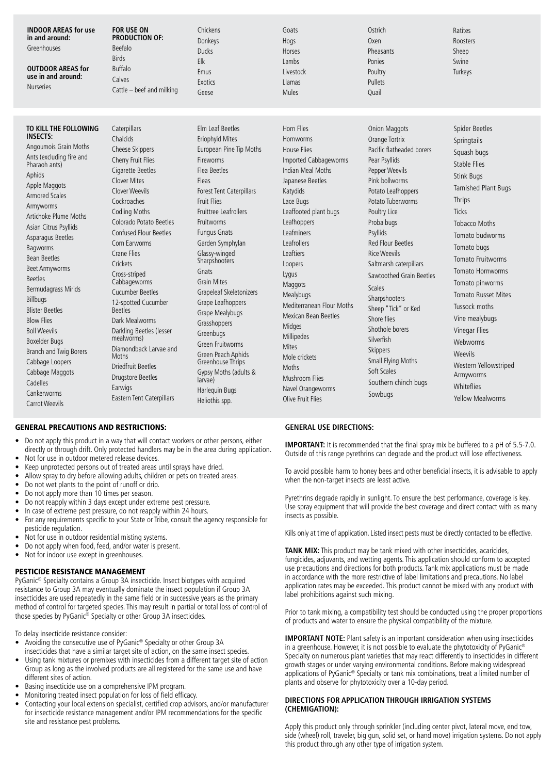| <b>INDOOR AREAS for use</b><br>in and around:<br>Greenhouses<br><b>OUTDOOR AREAS for</b><br>use in and around:<br><b>Nurseries</b> | <b>FOR USE ON</b><br><b>PRODUCTION OF:</b><br>Beefalo<br><b>Birds</b><br><b>Buffalo</b><br>Calves<br>Cattle – beef and milking | Chickens<br>Donkeys<br><b>Ducks</b><br>Elk<br>Emus<br>Exotics<br>Geese | Goats<br>Hogs<br>Horses<br>Lambs<br>Livestock<br>Llamas<br>Mules | Ostrich<br>Oxen.<br>Pheasants<br>Ponies<br>Poultry<br>Pullets<br>Quail | Ratites<br>Roosters<br>Sheep<br>Swine<br>Turkeys |
|------------------------------------------------------------------------------------------------------------------------------------|--------------------------------------------------------------------------------------------------------------------------------|------------------------------------------------------------------------|------------------------------------------------------------------|------------------------------------------------------------------------|--------------------------------------------------|
|                                                                                                                                    |                                                                                                                                |                                                                        |                                                                  |                                                                        |                                                  |

| TO KILL THE FOLLOWING                     | Caterpillars                          | Elm Leaf Beetles                        | Horn Flies                | <b>Onion Maggots</b>      |
|-------------------------------------------|---------------------------------------|-----------------------------------------|---------------------------|---------------------------|
| <b>INSECTS:</b>                           | Chalcids                              | Eriophyid Mites                         | <b>Hornworms</b>          | Orange Tortrix            |
| Angoumois Grain Moths                     | Cheese Skippers                       | European Pine Tip Moths                 | House Flies               | Pacific flatheaded borers |
| Ants (excluding fire and<br>Pharaoh ants) | Cherry Fruit Flies                    | <b>Fireworms</b>                        | Imported Cabbageworms     | Pear Psyllids             |
| Aphids                                    | Cigarette Beetles                     | Flea Beetles                            | Indian Meal Moths         | Pepper Weevils            |
| Apple Maggots                             | Clover Mites                          | Fleas                                   | Japanese Beetles          | Pink hollworms            |
| <b>Armored Scales</b>                     | Clover Weevils                        | <b>Forest Tent Caterpillars</b>         | Katydids                  | Potato Leafhoppers        |
| Armyworms                                 | Cockroaches                           | <b>Fruit Flies</b>                      | Lace Bugs                 | Potato Tuberworms         |
| Artichoke Plume Moths                     | Codling Moths                         | Fruittree Leafrollers                   | Leaffooted plant bugs     | Poultry Lice              |
| Asian Citrus Psyllids                     | Colorado Potato Beetles               | Fruitworms                              | Leafhoppers               | Proba bugs                |
| Asparagus Beetles                         | Confused Flour Beetles                | <b>Fungus Gnats</b>                     | Leafminers                | Psyllids                  |
| <b>Bagworms</b>                           | Corn Earworms                         | Garden Symphylan                        | Leafrollers               | Red Flour Beetles         |
| <b>Bean Beetles</b>                       | Crane Flies                           | Glassy-winged                           | <b>Leaftiers</b>          | Rice Weevils              |
| Beet Armyworms                            | Crickets                              | Sharpshooters                           | Loopers                   | Saltmarsh caterpillars    |
| <b>Beetles</b>                            | Cross-striped                         | Gnats                                   | Lygus                     | Sawtoothed Grain Beetles  |
| Bermudagrass Mirids                       | Cabbageworms                          | <b>Grain Mites</b>                      | Maggots                   | <b>Scales</b>             |
| <b>Billbugs</b>                           | Cucumber Beetles                      | Grapeleaf Skeletonizers                 | Mealybugs                 | Sharpshooters             |
| <b>Blister Beetles</b>                    | 12-spotted Cucumber<br><b>Beetles</b> | Grape Leafhoppers                       | Mediterranean Flour Moths | Sheep "Tick" or Ked       |
| <b>Blow Flies</b>                         | Dark Mealworms                        | Grape Mealybugs                         | Mexican Bean Beetles      | Shore flies               |
| <b>Boll Weevils</b>                       | Darkling Beetles (lesser              | Grasshoppers                            | Midges                    | Shothole borers           |
| Boxelder Bugs                             | mealworms)                            | Greenbugs                               | Millipedes                | Silverfish                |
| Branch and Twig Borers                    | Diamondback Larvae and                | Green Fruitworms                        | <b>Mites</b>              | Skippers                  |
| Cabbage Loopers                           | <b>Moths</b>                          | Green Peach Aphids<br>Greenhouse Thrips | Mole crickets             | Small Flying Moths        |
| Cabbage Maggots                           | Driedfruit Beetles                    | Gypsy Moths (adults &                   | <b>Moths</b>              | Soft Scales               |
| Cadelles                                  | Drugstore Beetles                     | larvae)                                 | Mushroom Flies            | Southern chinch bugs      |
| Cankerworms                               | Earwigs                               | Harlequin Bugs                          | Navel Orangeworms         |                           |
| Carrot Weevils                            | Eastern Tent Caterpillars             | Heliothis spp.                          | Olive Fruit Flies         | Sowbugs                   |

#### GENERAL PRECAUTIONS AND RESTRICTIONS:

- Do not apply this product in a way that will contact workers or other persons, either directly or through drift. Only protected handlers may be in the area during application.
- Not for use in outdoor metered release devices.
- Keep unprotected persons out of treated areas until sprays have dried.
- Allow spray to dry before allowing adults, children or pets on treated areas.
- Do not wet plants to the point of runoff or drip.
- Do not apply more than 10 times per season.
- Do not reapply within 3 days except under extreme pest pressure.
- In case of extreme pest pressure, do not reapply within 24 hours.
- For any requirements specific to your State or Tribe, consult the agency responsible for pesticide regulation.
- Not for use in outdoor residential misting systems.
- Do not apply when food, feed, and/or water is present.
- Not for indoor use except in greenhouses.

#### PESTICIDE RESISTANCE MANAGEMENT

PyGanic® Specialty contains a Group 3A insecticide. Insect biotypes with acquired resistance to Group 3A may eventually dominate the insect population if Group 3A insecticides are used repeatedly in the same field or in successive years as the primary method of control for targeted species. This may result in partial or total loss of control of those species by PyGanic® Specialty or other Group 3A insecticides.

To delay insecticide resistance consider:

- Avoiding the consecutive use of PyGanic® Specialty or other Group 3A
- insecticides that have a similar target site of action, on the same insect species. • Using tank mixtures or premixes with insecticides from a different target site of action Group as long as the involved products are all registered for the same use and have different sites of action.
- Basing insecticide use on a comprehensive IPM program.
- Monitoring treated insect population for loss of field efficacy.
- Contacting your local extension specialist, certified crop advisors, and/or manufacturer for insecticide resistance management and/or IPM recommendations for the specific site and resistance pest problems.

#### **GENERAL USE DIRECTIONS:**

**IMPORTANT:** It is recommended that the final spray mix be buffered to a pH of 5.5-7.0. Outside of this range pyrethrins can degrade and the product will lose effectiveness.

Spider Beetles Springtails Squash bugs Stable Flies Stink Bugs Tarnished Plant Bugs

**Thrips Ticks** Tobacco Moths Tomato budworms Tomato bugs Tomato Fruitworms Tomato Hornworms Tomato pinworms Tomato Russet Mites Tussock moths Vine mealybugs Vinegar Flies Webworms Weevils

Western Yellowstriped Armyworms Whiteflies Yellow Mealworms

To avoid possible harm to honey bees and other beneficial insects, it is advisable to apply when the non-target insects are least active.

Pyrethrins degrade rapidly in sunlight. To ensure the best performance, coverage is key. Use spray equipment that will provide the best coverage and direct contact with as many insects as possible.

Kills only at time of application. Listed insect pests must be directly contacted to be effective.

**TANK MIX:** This product may be tank mixed with other insecticides, acaricides, fungicides, adjuvants, and wetting agents. This application should conform to accepted use precautions and directions for both products. Tank mix applications must be made in accordance with the more restrictive of label limitations and precautions. No label application rates may be exceeded. This product cannot be mixed with any product with label prohibitions against such mixing.

Prior to tank mixing, a compatibility test should be conducted using the proper proportions of products and water to ensure the physical compatibility of the mixture.

**IMPORTANT NOTE:** Plant safety is an important consideration when using insecticides in a greenhouse. However, it is not possible to evaluate the phytotoxicity of PyGanic® Specialty on numerous plant varieties that may react differently to insecticides in different growth stages or under varying environmental conditions. Before making widespread applications of PyGanic® Specialty or tank mix combinations, treat a limited number of plants and observe for phytotoxicity over a 10-day period.

#### **DIRECTIONS FOR APPLICATION THROUGH IRRIGATION SYSTEMS (CHEMIGATION):**

Apply this product only through sprinkler (including center pivot, lateral move, end tow, side (wheel) roll, traveler, big gun, solid set, or hand move) irrigation systems. Do not apply this product through any other type of irrigation system.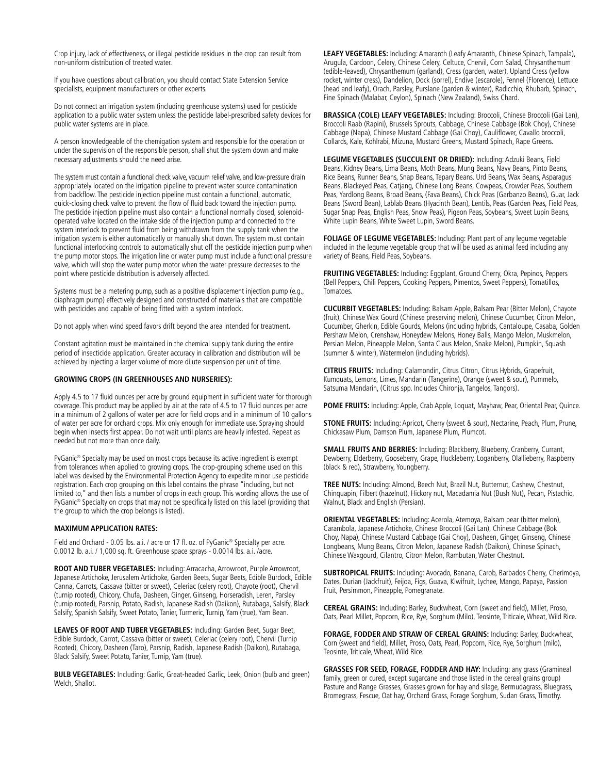Crop injury, lack of effectiveness, or illegal pesticide residues in the crop can result from non-uniform distribution of treated water.

If you have questions about calibration, you should contact State Extension Service specialists, equipment manufacturers or other experts.

Do not connect an irrigation system (including greenhouse systems) used for pesticide application to a public water system unless the pesticide label-prescribed safety devices for public water systems are in place.

A person knowledgeable of the chemigation system and responsible for the operation or under the supervision of the responsible person, shall shut the system down and make necessary adjustments should the need arise.

The system must contain a functional check valve, vacuum relief valve, and low-pressure drain appropriately located on the irrigation pipeline to prevent water source contamination from backflow. The pesticide injection pipeline must contain a functional, automatic, quick-closing check valve to prevent the flow of fluid back toward the injection pump. The pesticide injection pipeline must also contain a functional normally closed, solenoidoperated valve located on the intake side of the injection pump and connected to the system interlock to prevent fluid from being withdrawn from the supply tank when the irrigation system is either automatically or manually shut down. The system must contain functional interlocking controls to automatically shut off the pesticide injection pump when the pump motor stops. The irrigation line or water pump must include a functional pressure valve, which will stop the water pump motor when the water pressure decreases to the point where pesticide distribution is adversely affected.

Systems must be a metering pump, such as a positive displacement injection pump (e.g., diaphragm pump) effectively designed and constructed of materials that are compatible with pesticides and capable of being fitted with a system interlock.

Do not apply when wind speed favors drift beyond the area intended for treatment.

Constant agitation must be maintained in the chemical supply tank during the entire period of insecticide application. Greater accuracy in calibration and distribution will be achieved by injecting a larger volume of more dilute suspension per unit of time.

#### **GROWING CROPS (IN GREENHOUSES AND NURSERIES):**

Apply 4.5 to 17 fluid ounces per acre by ground equipment in sufficient water for thorough coverage. This product may be applied by air at the rate of 4.5 to 17 fluid ounces per acre in a minimum of 2 gallons of water per acre for field crops and in a minimum of 10 gallons of water per acre for orchard crops. Mix only enough for immediate use. Spraying should begin when insects first appear. Do not wait until plants are heavily infested. Repeat as needed but not more than once daily.

PyGanic® Specialty may be used on most crops because its active ingredient is exempt from tolerances when applied to growing crops. The crop-grouping scheme used on this label was devised by the Environmental Protection Agency to expedite minor use pesticide registration. Each crop grouping on this label contains the phrase "including, but not limited to," and then lists a number of crops in each group. This wording allows the use of PyGanic<sup>®</sup> Specialty on crops that may not be specifically listed on this label (providing that the group to which the crop belongs is listed).

#### **MAXIMUM APPLICATION RATES:**

Field and Orchard - 0.05 lbs. a.i. / acre or 17 fl. oz. of PyGanic® Specialty per acre. 0.0012 lb. a.i. / 1,000 sq. ft. Greenhouse space sprays - 0.0014 lbs. a.i. /acre.

**ROOT AND TUBER VEGETABLES:** Including: Arracacha, Arrowroot, Purple Arrowroot, Japanese Artichoke, Jerusalem Artichoke, Garden Beets, Sugar Beets, Edible Burdock, Edible Canna, Carrots, Cassava (bitter or sweet), Celeriac (celery root), Chayote (root), Chervil (turnip rooted), Chicory, Chufa, Dasheen, Ginger, Ginseng, Horseradish, Leren, Parsley (turnip rooted), Parsnip, Potato, Radish, Japanese Radish (Daikon), Rutabaga, Salsify, Black Salsify, Spanish Salsify, Sweet Potato, Tanier, Turmeric, Turnip, Yam (true), Yam Bean.

**LEAVES OF ROOT AND TUBER VEGETABLES:** Including: Garden Beet, Sugar Beet, Edible Burdock, Carrot, Cassava (bitter or sweet), Celeriac (celery root), Chervil (Turnip Rooted), Chicory, Dasheen (Taro), Parsnip, Radish, Japanese Radish (Daikon), Rutabaga, Black Salsify, Sweet Potato, Tanier, Turnip, Yam (true).

**BULB VEGETABLES:** Including: Garlic, Great-headed Garlic, Leek, Onion (bulb and green) Welch, Shallot.

**LEAFY VEGETABLES:** Including: Amaranth (Leafy Amaranth, Chinese Spinach, Tampala), Arugula, Cardoon, Celery, Chinese Celery, Celtuce, Chervil, Corn Salad, Chrysanthemum (edible-leaved), Chrysanthemum (garland), Cress (garden, water), Upland Cress (yellow rocket, winter cress), Dandelion, Dock (sorrel), Endive (escarole), Fennel (Florence), Lettuce (head and leafy), Orach, Parsley, Purslane (garden & winter), Radicchio, Rhubarb, Spinach, Fine Spinach (Malabar, Ceylon), Spinach (New Zealand), Swiss Chard.

**BRASSICA (COLE) LEAFY VEGETABLES:** Including: Broccoli, Chinese Broccoli (Gai Lan), Broccoli Raab (Rapini), Brussels Sprouts, Cabbage, Chinese Cabbage (Bok Choy), Chinese Cabbage (Napa), Chinese Mustard Cabbage (Gai Choy), Cauliflower, Cavallo broccoli, Collards, Kale, Kohlrabi, Mizuna, Mustard Greens, Mustard Spinach, Rape Greens.

**LEGUME VEGETABLES (SUCCULENT OR DRIED):** Including: Adzuki Beans, Field Beans, Kidney Beans, Lima Beans, Moth Beans, Mung Beans, Navy Beans, Pinto Beans, Rice Beans, Runner Beans, Snap Beans, Tepary Beans, Urd Beans, Wax Beans, Asparagus Beans, Blackeyed Peas, Catjang, Chinese Long Beans, Cowpeas, Crowder Peas, Southern Peas, Yardlong Beans, Broad Beans, (Fava Beans), Chick Peas (Garbanzo Beans), Guar, Jack Beans (Sword Bean), Lablab Beans (Hyacinth Bean), Lentils, Peas (Garden Peas, Field Peas, Sugar Snap Peas, English Peas, Snow Peas), Pigeon Peas, Soybeans, Sweet Lupin Beans, White Lupin Beans, White Sweet Lupin, Sword Beans.

**FOLIAGE OF LEGUME VEGETABLES:** Including: Plant part of any legume vegetable included in the legume vegetable group that will be used as animal feed including any variety of Beans, Field Peas, Soybeans.

**FRUITING VEGETABLES:** Including: Eggplant, Ground Cherry, Okra, Pepinos, Peppers (Bell Peppers, Chili Peppers, Cooking Peppers, Pimentos, Sweet Peppers), Tomatillos, Tomatoes.

**CUCURBIT VEGETABLES:** Including: Balsam Apple, Balsam Pear (Bitter Melon), Chayote (fruit), Chinese Wax Gourd (Chinese preserving melon), Chinese Cucumber, Citron Melon, Cucumber, Gherkin, Edible Gourds, Melons (including hybrids, Cantaloupe, Casaba, Golden Pershaw Melon, Crenshaw, Honeydew Melons, Honey Balls, Mango Melon, Muskmelon, Persian Melon, Pineapple Melon, Santa Claus Melon, Snake Melon), Pumpkin, Squash (summer & winter), Watermelon (including hybrids).

**CITRUS FRUITS:** Including: Calamondin, Citrus Citron, Citrus Hybrids, Grapefruit, Kumquats, Lemons, Limes, Mandarin (Tangerine), Orange (sweet & sour), Pummelo, Satsuma Mandarin, (Citrus spp. Includes Chironja, Tangelos, Tangors).

**POME FRUITS:** Including: Apple, Crab Apple, Loquat, Mayhaw, Pear, Oriental Pear, Quince.

**STONE FRUITS:** Including: Apricot, Cherry (sweet & sour), Nectarine, Peach, Plum, Prune, Chickasaw Plum, Damson Plum, Japanese Plum, Plumcot.

**SMALL FRUITS AND BERRIES:** Including: Blackberry, Blueberry, Cranberry, Currant, Dewberry, Elderberry, Gooseberry, Grape, Huckleberry, Loganberry, Olallieberry, Raspberry (black & red), Strawberry, Youngberry.

**TREE NUTS:** Including: Almond, Beech Nut, Brazil Nut, Butternut, Cashew, Chestnut, Chinquapin, Filbert (hazelnut), Hickory nut, Macadamia Nut (Bush Nut), Pecan, Pistachio, Walnut, Black and English (Persian).

**ORIENTAL VEGETABLES:** Including: Acerola, Atemoya, Balsam pear (bitter melon), Carambola, Japanese Artichoke, Chinese Broccoli (Gai Lan), Chinese Cabbage (Bok Choy, Napa), Chinese Mustard Cabbage (Gai Choy), Dasheen, Ginger, Ginseng, Chinese Longbeans, Mung Beans, Citron Melon, Japanese Radish (Daikon), Chinese Spinach, Chinese Waxgourd, Cilantro, Citron Melon, Rambutan, Water Chestnut.

**SUBTROPICAL FRUITS:** Including: Avocado, Banana, Carob, Barbados Cherry, Cherimoya, Dates, Durian (Jackfruit), Feijoa, Figs, Guava, Kiwifruit, Lychee, Mango, Papaya, Passion Fruit, Persimmon, Pineapple, Pomegranate.

**CEREAL GRAINS:** Including: Barley, Buckwheat, Corn (sweet and field), Millet, Proso, Oats, Pearl Millet, Popcorn, Rice, Rye, Sorghum (Milo), Teosinte, Triticale, Wheat, Wild Rice.

**FORAGE, FODDER AND STRAW OF CEREAL GRAINS:** Including: Barley, Buckwheat, Corn (sweet and field), Millet, Proso, Oats, Pearl, Popcorn, Rice, Rye, Sorghum (milo), Teosinte, Triticale, Wheat, Wild Rice.

**GRASSES FOR SEED, FORAGE, FODDER AND HAY:** Including: any grass (Gramineal family, green or cured, except sugarcane and those listed in the cereal grains group) Pasture and Range Grasses, Grasses grown for hay and silage, Bermudagrass, Bluegrass, Bromegrass, Fescue, Oat hay, Orchard Grass, Forage Sorghum, Sudan Grass, Timothy.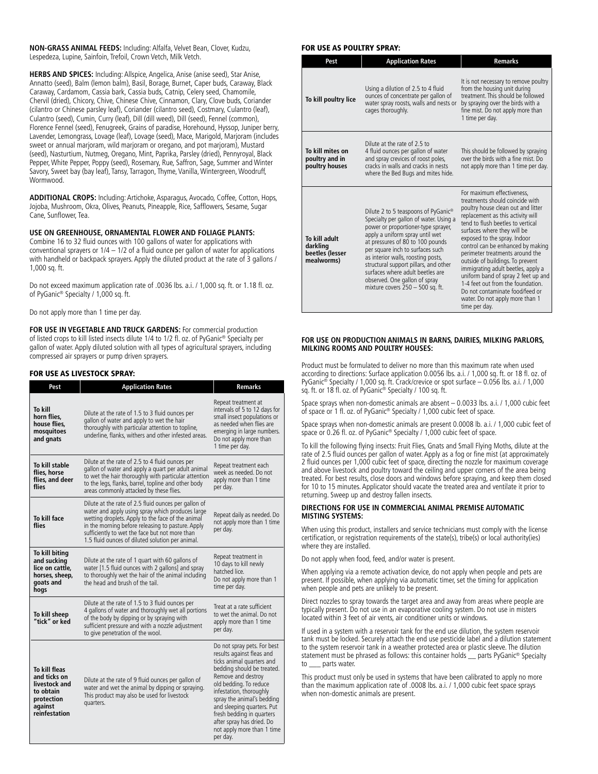**NON-GRASS ANIMAL FEEDS:** Including: Alfalfa, Velvet Bean, Clover, Kudzu, Lespedeza, Lupine, Sainfoin, Trefoil, Crown Vetch, Milk Vetch.

**HERBS AND SPICES:** Including: Allspice, Angelica, Anise (anise seed), Star Anise, Annatto (seed), Balm (lemon balm), Basil, Borage, Burnet, Caper buds, Caraway, Black Caraway, Cardamom, Cassia bark, Cassia buds, Catnip, Celery seed, Chamomile, Chervil (dried), Chicory, Chive, Chinese Chive, Cinnamon, Clary, Clove buds, Coriander (cilantro or Chinese parsley leaf), Coriander (cilantro seed), Costmary, Culantro (leaf), Culantro (seed), Cumin, Curry (leaf), Dill (dill weed), Dill (seed), Fennel (common), Florence Fennel (seed), Fenugreek, Grains of paradise, Horehound, Hyssop, Juniper berry, Lavender, Lemongrass, Lovage (leaf), Lovage (seed), Mace, Marigold, Marjoram (includes sweet or annual marjoram, wild marjoram or oregano, and pot marjoram), Mustard (seed), Nasturtium, Nutmeg, Oregano, Mint, Paprika, Parsley (dried), Pennyroyal, Black Pepper, White Pepper, Poppy (seed), Rosemary, Rue, Saffron, Sage, Summer and Winter Savory, Sweet bay (bay leaf), Tansy, Tarragon, Thyme, Vanilla, Wintergreen, Woodruff, Wormwood.

**ADDITIONAL CROPS:** Including: Artichoke, Asparagus, Avocado, Coffee, Cotton, Hops, Jojoba, Mushroom, Okra, Olives, Peanuts, Pineapple, Rice, Safflowers, Sesame, Sugar Cane, Sunflower, Tea.

## **USE ON GREENHOUSE, ORNAMENTAL FLOWER AND FOLIAGE PLANTS:**

Combine 16 to 32 fluid ounces with 100 gallons of water for applications with conventional sprayers or  $1/4 - 1/2$  of a fluid ounce per gallon of water for applications with handheld or backpack sprayers. Apply the diluted product at the rate of 3 gallons / 1,000 sq. ft.

Do not exceed maximum application rate of .0036 lbs. a.i. / 1,000 sq. ft. or 1.18 fl. oz. of PyGanic® Specialty / 1,000 sq. ft.

Do not apply more than 1 time per day.

**FOR USE IN VEGETABLE AND TRUCK GARDENS:** For commercial production of listed crops to kill listed insects dilute 1/4 to 1/2 fl. oz. of PyGanic<sup>®</sup> Specialty per gallon of water. Apply diluted solution with all types of agricultural sprayers, including compressed air sprayers or pump driven sprayers.

#### FOR USE AS LIVESTOCK SPRAY:

| Pest                                                                                                  | <b>Application Rates</b>                                                                                                                                                                                                                                                                                                 | <b>Remarks</b>                                                                                                                                                                                                                                                                                                                                                 |  |
|-------------------------------------------------------------------------------------------------------|--------------------------------------------------------------------------------------------------------------------------------------------------------------------------------------------------------------------------------------------------------------------------------------------------------------------------|----------------------------------------------------------------------------------------------------------------------------------------------------------------------------------------------------------------------------------------------------------------------------------------------------------------------------------------------------------------|--|
| To kill<br>horn flies.<br>house flies.<br>mosquitoes<br>and gnats                                     | Dilute at the rate of 1.5 to 3 fluid ounces per<br>gallon of water and apply to wet the hair<br>thoroughly with particular attention to topline,<br>underline, flanks, withers and other infested areas.                                                                                                                 | Repeat treatment at<br>intervals of 5 to 12 days for<br>small insect populations or<br>as needed when flies are<br>emerging in large numbers.<br>Do not apply more than<br>1 time per day.                                                                                                                                                                     |  |
| To kill stable<br>flies, horse<br>flies, and deer<br>flies                                            | Dilute at the rate of 2.5 to 4 fluid ounces per<br>gallon of water and apply a quart per adult animal<br>to wet the hair thoroughly with particular attention<br>to the legs, flanks, barrel, topline and other body<br>areas commonly attacked by these flies.                                                          | Repeat treatment each<br>week as needed. Do not<br>apply more than 1 time<br>per day.                                                                                                                                                                                                                                                                          |  |
| To kill face<br>flies                                                                                 | Dilute at the rate of 2.5 fluid ounces per gallon of<br>water and apply using spray which produces large<br>wetting droplets. Apply to the face of the animal<br>in the morning before releasing to pasture. Apply<br>sufficiently to wet the face but not more than<br>1.5 fluid ounces of diluted solution per animal. | Repeat daily as needed. Do<br>not apply more than 1 time<br>per day.                                                                                                                                                                                                                                                                                           |  |
| To kill biting<br>and sucking<br>lice on cattle.<br>horses, sheep,<br>goats and<br>hogs               | Dilute at the rate of 1 quart with 60 gallons of<br>water [1.5 fluid ounces with 2 gallons] and spray<br>to thoroughly wet the hair of the animal including<br>the head and brush of the tail.                                                                                                                           | Repeat treatment in<br>10 days to kill newly<br>hatched lice.<br>Do not apply more than 1<br>time per day.                                                                                                                                                                                                                                                     |  |
| To kill sheep<br>"tick" or ked                                                                        | Dilute at the rate of 1.5 to 3 fluid ounces per<br>4 gallons of water and thoroughly wet all portions<br>of the body by dipping or by spraying with<br>sufficient pressure and with a nozzle adjustment<br>to give penetration of the wool.                                                                              | Treat at a rate sufficient<br>to wet the animal. Do not<br>apply more than 1 time<br>per day.                                                                                                                                                                                                                                                                  |  |
| To kill fleas<br>and ticks on<br>livestock and<br>to obtain<br>protection<br>against<br>reinfestation | Dilute at the rate of 9 fluid ounces per gallon of<br>water and wet the animal by dipping or spraying.<br>This product may also be used for livestock<br>quarters.                                                                                                                                                       | Do not spray pets. For best<br>results against fleas and<br>ticks animal quarters and<br>bedding should be treated.<br>Remove and destroy<br>old bedding. To reduce<br>infestation, thoroughly<br>spray the animal's bedding<br>and sleeping quarters. Put<br>fresh bedding in quarters<br>after spray has dried. Do<br>not apply more than 1 time<br>per day. |  |

#### FOR USE AS POULTRY SPRAY:

| Pest                                                       | <b>Application Rates</b>                                                                                                                                                                                                                                                                                                                                                                                                              | <b>Remarks</b>                                                                                                                                                                                                                                                                                                                                                                                                                                                                                                                                                    |  |
|------------------------------------------------------------|---------------------------------------------------------------------------------------------------------------------------------------------------------------------------------------------------------------------------------------------------------------------------------------------------------------------------------------------------------------------------------------------------------------------------------------|-------------------------------------------------------------------------------------------------------------------------------------------------------------------------------------------------------------------------------------------------------------------------------------------------------------------------------------------------------------------------------------------------------------------------------------------------------------------------------------------------------------------------------------------------------------------|--|
| To kill poultry lice                                       | Using a dilution of 2.5 to 4 fluid<br>ounces of concentrate per gallon of<br>water spray roosts, walls and nests or<br>cages thoroughly.                                                                                                                                                                                                                                                                                              | It is not necessary to remove poultry<br>from the housing unit during<br>treatment. This should be followed<br>by spraying over the birds with a<br>fine mist. Do not apply more than<br>1 time per day.                                                                                                                                                                                                                                                                                                                                                          |  |
| To kill mites on<br>poultry and in<br>poultry houses       | Dilute at the rate of 2.5 to<br>4 fluid ounces per gallon of water<br>and spray crevices of roost poles,<br>cracks in walls and cracks in nests<br>where the Bed Bugs and mites hide.                                                                                                                                                                                                                                                 | This should be followed by spraying<br>over the birds with a fine mist. Do<br>not apply more than 1 time per day.                                                                                                                                                                                                                                                                                                                                                                                                                                                 |  |
| To kill adult<br>darkling<br>beetles (lesser<br>mealworms) | Dilute 2 to 5 teaspoons of PyGanic <sup>®</sup><br>Specialty per gallon of water. Using a<br>power or proportioner-type sprayer,<br>apply a uniform spray until wet<br>at pressures of 80 to 100 pounds<br>per square inch to surfaces such<br>as interior walls, roosting posts,<br>structural support pillars, and other<br>surfaces where adult beetles are<br>observed. One gallon of spray<br>mixture covers $250 - 500$ sq. ft. | For maximum effectiveness,<br>treatments should coincide with<br>poultry house clean out and litter<br>replacement as this activity will<br>tend to flush beetles to vertical<br>surfaces where they will be<br>exposed to the spray. Indoor<br>control can be enhanced by making<br>perimeter treatments around the<br>outside of buildings. To prevent<br>immigrating adult beetles, apply a<br>uniform band of spray 2 feet up and<br>1-4 feet out from the foundation.<br>Do not contaminate food/feed or<br>water. Do not apply more than 1<br>time per day. |  |

#### **FOR USE ON PRODUCTION ANIMALS IN BARNS, DAIRIES, MILKING PARLORS, MILKING ROOMS AND POULTRY HOUSES:**

Product must be formulated to deliver no more than this maximum rate when used according to directions: Surface application 0.0056 lbs. a.i. / 1,000 sq. ft. or 18 fl. oz. of PyGanic® Specialty / 1,000 sq. ft. Crack/crevice or spot surface – 0.056 lbs. a.i. / 1,000 sq. ft. or 18 fl. oz. of PyGanic® Specialty / 100 sq. ft.

Space sprays when non-domestic animals are absent – 0.0033 lbs. a.i. / 1,000 cubic feet of space or 1 fl. oz. of PyGanic® Specialty / 1,000 cubic feet of space.

Space sprays when non-domestic animals are present 0.0008 lb. a.i. / 1,000 cubic feet of space or 0.26 fl. oz. of PyGanic® Specialty / 1,000 cubic feet of space.

To kill the following flying insects: Fruit Flies, Gnats and Small Flying Moths, dilute at the rate of 2.5 fluid ounces per gallon of water. Apply as a fog or fine mist (at approximately 2 fluid ounces per 1,000 cubic feet of space, directing the nozzle for maximum coverage and above livestock and poultry toward the ceiling and upper corners of the area being treated. For best results, close doors and windows before spraying, and keep them closed for 10 to 15 minutes. Applicator should vacate the treated area and ventilate it prior to returning. Sweep up and destroy fallen insects.

#### **DIRECTIONS FOR USE IN COMMERCIAL ANIMAL PREMISE AUTOMATIC MISTING SYSTEMS:**

When using this product, installers and service technicians must comply with the license certification, or registration requirements of the state(s), tribe(s) or local authority(ies) where they are installed.

Do not apply when food, feed, and/or water is present.

When applying via a remote activation device, do not apply when people and pets are present. If possible, when applying via automatic timer, set the timing for application when people and pets are unlikely to be present.

Direct nozzles to spray towards the target area and away from areas where people are typically present. Do not use in an evaporative cooling system. Do not use in misters located within 3 feet of air vents, air conditioner units or windows.

If used in a system with a reservoir tank for the end use dilution, the system reservoir tank must be locked. Securely attach the end use pesticide label and a dilution statement to the system reservoir tank in a weather protected area or plastic sleeve. The dilution statement must be phrased as follows: this container holds \_ parts PyGanic® Specialty to \_\_\_\_ parts water.

This product must only be used in systems that have been calibrated to apply no more than the maximum application rate of .0008 lbs. a.i. / 1,000 cubic feet space sprays when non-domestic animals are present.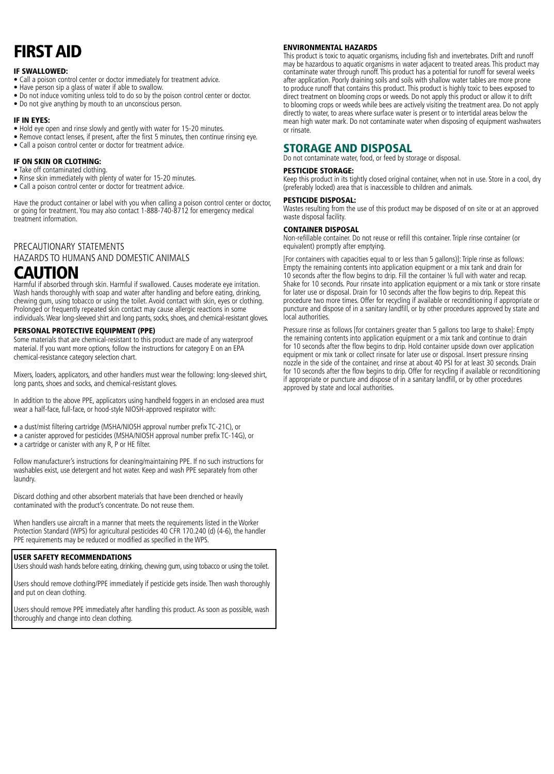# FIRST AID

#### IF SWALLOWED:

- Call a poison control center or doctor immediately for treatment advice.
- Have person sip a glass of water if able to swallow.
- Do not induce vomiting unless told to do so by the poison control center or doctor.
- Do not give anything by mouth to an unconscious person.

#### IF IN EYES:

- Hold eye open and rinse slowly and gently with water for 15-20 minutes.
- Remove contact lenses, if present, after the first 5 minutes, then continue rinsing eye.
- Call a poison control center or doctor for treatment advice.

# IF ON SKIN OR CLOTHING:

- Take off contaminated clothing.
- Rinse skin immediately with plenty of water for 15-20 minutes.
- Call a poison control center or doctor for treatment advice.

Have the product container or label with you when calling a poison control center or doctor, or going for treatment. You may also contact 1-888-740-8712 for emergency medical treatment information.

## PRECAUTIONARY STATEMENTS HAZARDS TO HUMANS AND DOMESTIC ANIMALS

# CAUTION

Harmful if absorbed through skin. Harmful if swallowed. Causes moderate eye irritation. Wash hands thoroughly with soap and water after handling and before eating, drinking, chewing gum, using tobacco or using the toilet. Avoid contact with skin, eyes or clothing. Prolonged or frequently repeated skin contact may cause allergic reactions in some individuals. Wear long-sleeved shirt and long pants, socks, shoes, and chemical-resistant gloves.

#### PERSONAL PROTECTIVE EQUIPMENT (PPE)

Some materials that are chemical-resistant to this product are made of any waterproof material. If you want more options, follow the instructions for category E on an EPA chemical-resistance category selection chart.

Mixers, loaders, applicators, and other handlers must wear the following: long-sleeved shirt, long pants, shoes and socks, and chemical-resistant gloves.

In addition to the above PPE, applicators using handheld foggers in an enclosed area must wear a half-face, full-face, or hood-style NIOSH-approved respirator with:

- a dust/mist filtering cartridge (MSHA/NIOSH approval number prefix TC-21C), or
- a canister approved for pesticides (MSHA/NIOSH approval number prefix TC-14G), or
- a cartridge or canister with any R, P or HE filter.

Follow manufacturer's instructions for cleaning/maintaining PPE. If no such instructions for washables exist, use detergent and hot water. Keep and wash PPE separately from other laundry.

Discard clothing and other absorbent materials that have been drenched or heavily contaminated with the product's concentrate. Do not reuse them.

When handlers use aircraft in a manner that meets the requirements listed in the Worker Protection Standard (WPS) for agricultural pesticides 40 CFR 170.240 (d) (4-6), the handler PPE requirements may be reduced or modified as specified in the WPS.

#### USER SAFETY RECOMMENDATIONS

Users should wash hands before eating, drinking, chewing gum, using tobacco or using the toilet.

Users should remove clothing/PPE immediately if pesticide gets inside. Then wash thoroughly and put on clean clothing.

Users should remove PPE immediately after handling this product. As soon as possible, wash thoroughly and change into clean clothing.

#### ENVIRONMENTAL HAZARDS

This product is toxic to aquatic organisms, including fish and invertebrates. Drift and runoff may be hazardous to aquatic organisms in water adjacent to treated areas. This product may contaminate water through runoff. This product has a potential for runoff for several weeks after application. Poorly draining soils and soils with shallow water tables are more prone to produce runoff that contains this product. This product is highly toxic to bees exposed to direct treatment on blooming crops or weeds. Do not apply this product or allow it to drift to blooming crops or weeds while bees are actively visiting the treatment area. Do not apply directly to water, to areas where surface water is present or to intertidal areas below the mean high water mark. Do not contaminate water when disposing of equipment washwaters or rinsate.

# STORAGE AND DISPOSAL

Do not contaminate water, food, or feed by storage or disposal.

#### PESTICIDE STORAGE:

Keep this product in its tightly closed original container, when not in use. Store in a cool, dry (preferably locked) area that is inaccessible to children and animals.

### PESTICIDE DISPOSAL:

Wastes resulting from the use of this product may be disposed of on site or at an approved waste disposal facility.

#### CONTAINER DISPOSAL

Non-refillable container. Do not reuse or refill this container. Triple rinse container (or equivalent) promptly after emptying.

[For containers with capacities equal to or less than 5 gallons)]: Triple rinse as follows: Empty the remaining contents into application equipment or a mix tank and drain for 10 seconds after the flow begins to drip. Fill the container ¼ full with water and recap. Shake for 10 seconds. Pour rinsate into application equipment or a mix tank or store rinsate for later use or disposal. Drain for 10 seconds after the flow begins to drip. Repeat this procedure two more times. Offer for recycling if available or reconditioning if appropriate or puncture and dispose of in a sanitary landfill, or by other procedures approved by state and local authorities.

Pressure rinse as follows [for containers greater than 5 gallons too large to shake]: Empty the remaining contents into application equipment or a mix tank and continue to drain for 10 seconds after the flow begins to drip. Hold container upside down over application equipment or mix tank or collect rinsate for later use or disposal. Insert pressure rinsing nozzle in the side of the container, and rinse at about 40 PSI for at least 30 seconds. Drain for 10 seconds after the flow begins to drip. Offer for recycling if available or reconditioning if appropriate or puncture and dispose of in a sanitary landfill, or by other procedures approved by state and local authorities.